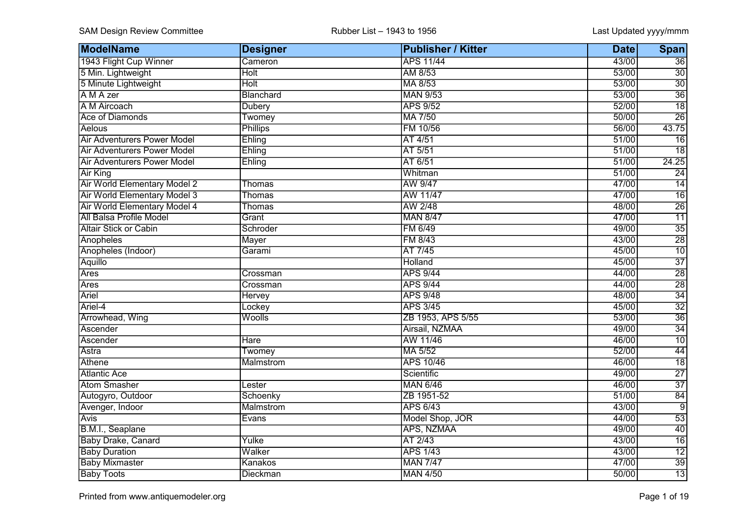| ModelName                           | <b>Designer</b>  | <b>Publisher / Kitter</b> | <b>Date</b> | <b>Span</b>     |
|-------------------------------------|------------------|---------------------------|-------------|-----------------|
| 1943 Flight Cup Winner              | Cameron          | <b>APS 11/44</b>          | 43/00       | $\overline{36}$ |
| 5 Min. Lightweight                  | <b>Holt</b>      | AM 8/53                   | 53/00       | 30              |
| 5 Minute Lightweight                | Holt             | MA 8/53                   | 53/00       | $\overline{30}$ |
| A M A zer                           | Blanchard        | <b>MAN 9/53</b>           | 53/00       | $\overline{36}$ |
| A M Aircoach                        | <b>Dubery</b>    | <b>APS 9/52</b>           | 52/00       | $\overline{18}$ |
| Ace of Diamonds                     | Twomey           | MA 7/50                   | 50/00       | $\overline{26}$ |
| Aelous                              | <b>Phillips</b>  | FM 10/56                  | 56/00       | 43.75           |
| <b>Air Adventurers Power Model</b>  | Ehling           | AT 4/51                   | 51/00       | $\overline{16}$ |
| <b>Air Adventurers Power Model</b>  | Ehling           | AT 5/51                   | 51/00       | $\overline{18}$ |
| <b>Air Adventurers Power Model</b>  | Ehling           | AT 6/51                   | 51/00       | 24.25           |
| <b>Air King</b>                     |                  | Whitman                   | 51/00       | $\overline{24}$ |
| <b>Air World Elementary Model 2</b> | Thomas           | AW 9/47                   | 47/00       | $\overline{14}$ |
| <b>Air World Elementary Model 3</b> | Thomas           | AW 11/47                  | 47/00       | $\overline{16}$ |
| Air World Elementary Model 4        | Thomas           | AW 2/48                   | 48/00       | $\overline{26}$ |
| All Balsa Profile Model             | Grant            | <b>MAN 8/47</b>           | 47/00       | $\overline{11}$ |
| Altair Stick or Cabin               | Schroder         | FM 6/49                   | 49/00       | $\overline{35}$ |
| Anopheles                           | <b>Mayer</b>     | FM 8/43                   | 43/00       | $\overline{28}$ |
| Anopheles (Indoor)                  | Garami           | AT 7/45                   | 45/00       | 10              |
| Aquillo                             |                  | Holland                   | 45/00       | $\overline{37}$ |
| Ares                                | Crossman         | <b>APS 9/44</b>           | 44/00       | $\overline{28}$ |
| Ares                                | Crossman         | <b>APS 9/44</b>           | 44/00       | $\overline{28}$ |
| Ariel                               | Hervey           | <b>APS 9/48</b>           | 48/00       | $\overline{34}$ |
| Ariel-4                             | Lockey           | <b>APS 3/45</b>           | 45/00       | $\overline{32}$ |
| Arrowhead, Wing                     | Woolls           | ZB 1953, APS 5/55         | 53/00       | $\overline{36}$ |
| Ascender                            |                  | Airsail, NZMAA            | 49/00       | $\overline{34}$ |
| Ascender                            | <b>Hare</b>      | AW 11/46                  | 46/00       | $\overline{10}$ |
| Astra                               | Twomey           | MA 5/52                   | 52/00       | $\overline{44}$ |
| Athene                              | Malmstrom        | APS 10/46                 | 46/00       | $\overline{18}$ |
| Atlantic Ace                        |                  | Scientific                | 49/00       | $\overline{27}$ |
| <b>Atom Smasher</b>                 | Lester           | <b>MAN 6/46</b>           | 46/00       | $\overline{37}$ |
| Autogyro, Outdoor                   | Schoenky         | ZB 1951-52                | 51/00       | $\overline{84}$ |
| Avenger, Indoor                     | <b>Malmstrom</b> | <b>APS 6/43</b>           | 43/00       | $\overline{9}$  |
| <b>Avis</b>                         | <b>Evans</b>     | Model Shop, JOR           | 44/00       | $\overline{53}$ |
| B.M.I., Seaplane                    |                  | APS, NZMAA                | 49/00       | $\overline{40}$ |
| <b>Baby Drake, Canard</b>           | Yulke            | AT 2/43                   | 43/00       | $\overline{16}$ |
| <b>Baby Duration</b>                | Walker           | <b>APS 1/43</b>           | 43/00       | $\overline{12}$ |
| <b>Baby Mixmaster</b>               | Kanakos          | <b>MAN 7/47</b>           | 47/00       | 39              |
| <b>Baby Toots</b>                   | <b>Dieckman</b>  | <b>MAN 4/50</b>           | 50/00       | $\overline{13}$ |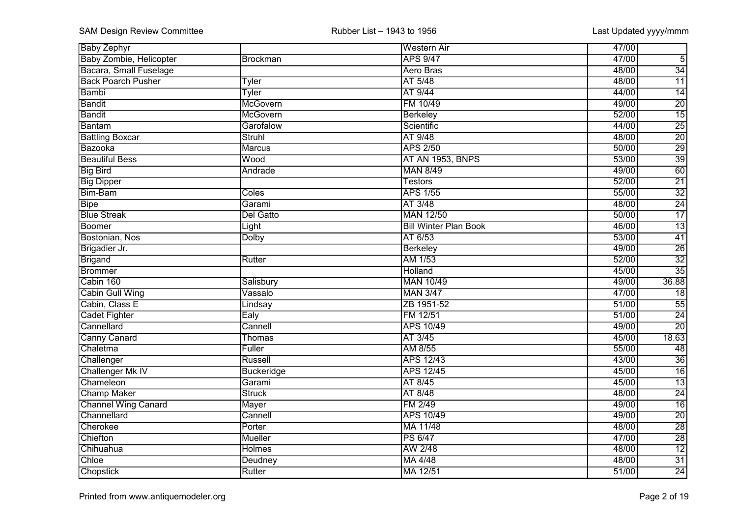| <b>Baby Zephyr</b>             |                 | <b>Western Air</b>           | 47/00 |                 |
|--------------------------------|-----------------|------------------------------|-------|-----------------|
| <b>Baby Zombie, Helicopter</b> | <b>Brockman</b> | <b>APS 9/47</b>              | 47/00 | $\overline{5}$  |
| Bacara, Small Fuselage         |                 | Aero Bras                    | 48/00 | $\overline{34}$ |
| <b>Back Poarch Pusher</b>      | <b>Tyler</b>    | AT 5/48                      | 48/00 | $\overline{11}$ |
| Bambi                          | Tyler           | AT 9/44                      | 44/00 | $\overline{14}$ |
| <b>Bandit</b>                  | McGovern        | FM 10/49                     | 49/00 | $\overline{20}$ |
| <b>Bandit</b>                  | McGovern        | <b>Berkeley</b>              | 52/00 | $\overline{15}$ |
| <b>Bantam</b>                  | Garofalow       | Scientific                   | 44/00 | $\overline{25}$ |
| <b>Battling Boxcar</b>         | <b>Struhl</b>   | AT 9/48                      | 48/00 | $\overline{20}$ |
| Bazooka                        | <b>Marcus</b>   | <b>APS 2/50</b>              | 50/00 | $\overline{29}$ |
| <b>Beautiful Bess</b>          | Wood            | AT AN 1953, BNPS             | 53/00 | $\overline{39}$ |
| <b>Big Bird</b>                | Andrade         | <b>MAN 8/49</b>              | 49/00 | 60              |
| <b>Big Dipper</b>              |                 | <b>Testors</b>               | 52/00 | $\overline{21}$ |
| Bim-Bam                        | Coles           | <b>APS 1/55</b>              | 55/00 | $\overline{32}$ |
| <b>Bipe</b>                    | Garami          | AT 3/48                      | 48/00 | $\overline{24}$ |
| <b>Blue Streak</b>             | Del Gatto       | <b>MAN 12/50</b>             | 50/00 | $\overline{17}$ |
| Boomer                         | Light           | <b>Bill Winter Plan Book</b> | 46/00 | $\overline{13}$ |
| Bostonian, Nos                 | <b>Dolby</b>    | AT 6/53                      | 53/00 | $\overline{41}$ |
| Brigadier Jr.                  |                 | Berkeley                     | 49/00 | $\overline{26}$ |
| <b>Brigand</b>                 | Rutter          | AM 1/53                      | 52/00 | $\overline{32}$ |
| <b>Brommer</b>                 |                 | Holland                      | 45/00 | $\overline{35}$ |
| Cabin 160                      | Salisbury       | <b>MAN 10/49</b>             | 49/00 | 36.88           |
| <b>Cabin Gull Wing</b>         | Vassalo         | <b>MAN 3/47</b>              | 47/00 | $\overline{18}$ |
| Cabin, Class E                 | Lindsay         | ZB 1951-52                   | 51/00 | 55              |
| <b>Cadet Fighter</b>           | Ealy            | FM 12/51                     | 51/00 | $\overline{24}$ |
| Cannellard                     | Cannell         | <b>APS 10/49</b>             | 49/00 | $\overline{20}$ |
| <b>Canny Canard</b>            | Thomas          | AT 3/45                      | 45/00 | 18.63           |
| Chaletma                       | Fuller          | AM 8/55                      | 55/00 | 48              |
| Challenger                     | Russell         | <b>APS 12/43</b>             | 43/00 | $\overline{36}$ |
| Challenger Mk IV               | Buckeridge      | <b>APS 12/45</b>             | 45/00 | $\overline{16}$ |
| Chameleon                      | Garami          | AT 8/45                      | 45/00 | $\overline{13}$ |
| <b>Champ Maker</b>             | <b>Struck</b>   | AT 8/48                      | 48/00 | $\overline{24}$ |
| Channel Wing Canard            | Mayer           | FM 2/49                      | 49/00 | $\overline{16}$ |
| Channellard                    | Cannell         | <b>APS 10/49</b>             | 49/00 | $\overline{20}$ |
| Cherokee                       | Porter          | MA 11/48                     | 48/00 | $\overline{28}$ |
| Chiefton                       | <b>Mueller</b>  | <b>PS 6/47</b>               | 47/00 | $\overline{28}$ |
| Chihuahua                      | <b>Holmes</b>   | AW 2/48                      | 48/00 | $\overline{12}$ |
| Chloe                          | Deudney         | MA 4/48                      | 48/00 | $\overline{31}$ |
| Chopstick                      | Rutter          | MA 12/51                     | 51/00 | $\overline{24}$ |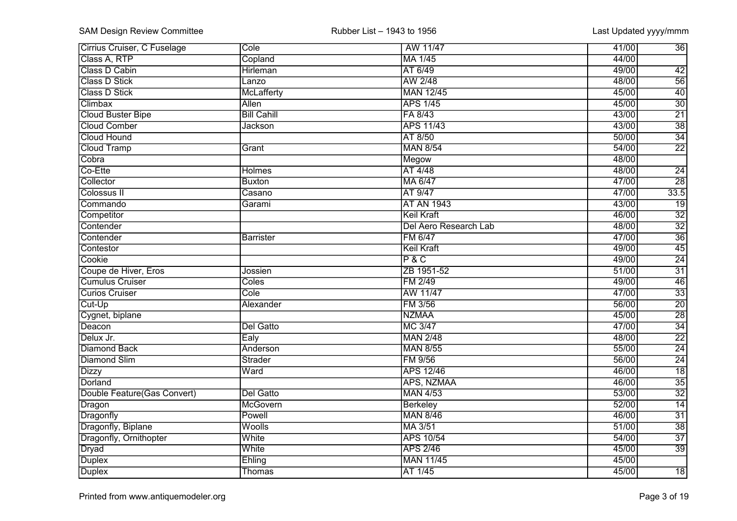| Cirrius Cruiser, C Fuselage | Cole               | AW 11/47              | 41/00 | $\overline{36}$ |
|-----------------------------|--------------------|-----------------------|-------|-----------------|
| Class A, RTP                | Copland            | MA 1/45               | 44/00 |                 |
| Class D Cabin               | Hirleman           | AT 6/49               | 49/00 | 42              |
| Class D Stick               | Lanzo              | AW 2/48               | 48/00 | $\overline{56}$ |
| <b>Class D Stick</b>        | McLafferty         | <b>MAN 12/45</b>      | 45/00 | 40              |
| Climbax                     | Allen              | <b>APS 1/45</b>       | 45/00 | 30              |
| <b>Cloud Buster Bipe</b>    | <b>Bill Cahill</b> | FA 8/43               | 43/00 | $\overline{21}$ |
| <b>Cloud Comber</b>         | Jackson            | <b>APS 11/43</b>      | 43/00 | $\overline{38}$ |
| <b>Cloud Hound</b>          |                    | AT 8/50               | 50/00 | $\overline{34}$ |
| <b>Cloud Tramp</b>          | Grant              | <b>MAN 8/54</b>       | 54/00 | $\overline{22}$ |
| Cobra                       |                    | Megow                 | 48/00 |                 |
| Co-Ette                     | Holmes             | AT 4/48               | 48/00 | $\overline{24}$ |
| Collector                   | <b>Buxton</b>      | MA 6/47               | 47/00 | $\overline{28}$ |
| Colossus II                 | Casano             | AT 9/47               | 47/00 | 33.5            |
| Commando                    | Garami             | <b>AT AN 1943</b>     | 43/00 | $\overline{19}$ |
| Competitor                  |                    | <b>Keil Kraft</b>     | 46/00 | $\overline{32}$ |
| Contender                   |                    | Del Aero Research Lab | 48/00 | $\overline{32}$ |
| Contender                   | Barrister          | <b>FM 6/47</b>        | 47/00 | $\overline{36}$ |
| Contestor                   |                    | <b>Keil Kraft</b>     | 49/00 | $\overline{45}$ |
| Cookie                      |                    | P & C                 | 49/00 | $\overline{24}$ |
| Coupe de Hiver, Eros        | Jossien            | ZB 1951-52            | 51/00 | $\overline{31}$ |
| <b>Cumulus Cruiser</b>      | Coles              | FM 2/49               | 49/00 | $\overline{46}$ |
| <b>Curios Cruiser</b>       | Cole               | AW 11/47              | 47/00 | $\overline{33}$ |
| Cut-Up                      | Alexander          | FM 3/56               | 56/00 | $\overline{20}$ |
| Cygnet, biplane             |                    | <b>NZMAA</b>          | 45/00 | $\overline{28}$ |
| Deacon                      | <b>Del Gatto</b>   | MC 3/47               | 47/00 | $\overline{34}$ |
| Delux Jr.                   | Ealy               | <b>MAN 2/48</b>       | 48/00 | $\overline{22}$ |
| <b>Diamond Back</b>         | Anderson           | <b>MAN 8/55</b>       | 55/00 | 24              |
| <b>Diamond Slim</b>         | Strader            | FM 9/56               | 56/00 | $\overline{24}$ |
| <b>Dizzy</b>                | Ward               | <b>APS 12/46</b>      | 46/00 | $\overline{18}$ |
| Dorland                     |                    | APS, NZMAA            | 46/00 | $\overline{35}$ |
| Double Feature(Gas Convert) | Del Gatto          | <b>MAN 4/53</b>       | 53/00 | $\overline{32}$ |
| Dragon                      | McGovern           | Berkeley              | 52/00 | $\overline{14}$ |
| Dragonfly                   | Powell             | <b>MAN 8/46</b>       | 46/00 | $\overline{31}$ |
| Dragonfly, Biplane          | Woolls             | MA 3/51               | 51/00 | $\overline{38}$ |
| Dragonfly, Ornithopter      | White              | <b>APS 10/54</b>      | 54/00 | $\overline{37}$ |
| <b>Dryad</b>                | White              | <b>APS 2/46</b>       | 45/00 | $\overline{39}$ |
| <b>Duplex</b>               | Ehling             | <b>MAN 11/45</b>      | 45/00 |                 |
| Duplex                      | Thomas             | AT 1/45               | 45/00 | $\overline{18}$ |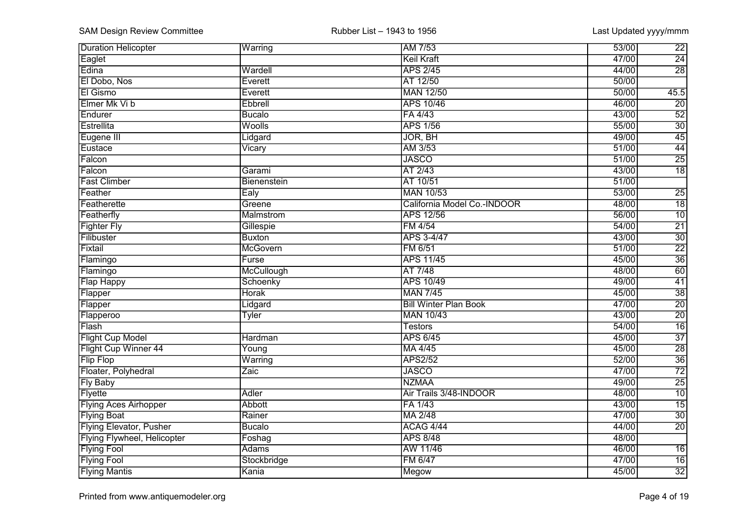| <b>Duration Helicopter</b>         | Warring          | AM 7/53                      | 53/00 | $\overline{22}$ |
|------------------------------------|------------------|------------------------------|-------|-----------------|
| Eaglet                             |                  | <b>Keil Kraft</b>            | 47/00 | $\overline{24}$ |
| Edina                              | Wardell          | <b>APS 2/45</b>              | 44/00 | $\overline{28}$ |
| El Dobo, Nos                       | Everett          | AT 12/50                     | 50/00 |                 |
| El Gismo                           | Everett          | <b>MAN 12/50</b>             | 50/00 | 45.5            |
| Elmer Mk Vi b                      | Ebbrell          | <b>APS 10/46</b>             | 46/00 | $\overline{20}$ |
| Endurer                            | Bucalo           | FA 4/43                      | 43/00 | 52              |
| Estrellita                         | Woolls           | <b>APS 1/56</b>              | 55/00 | $\overline{30}$ |
| Eugene III                         | Lidgard          | JOR, BH                      | 49/00 | 45              |
| Eustace                            | Vicary           | AM 3/53                      | 51/00 | 44              |
| Falcon                             |                  | <b>JASCO</b>                 | 51/00 | $\overline{25}$ |
| Falcon                             | Garami           | AT 2/43                      | 43/00 | $\overline{18}$ |
| <b>Fast Climber</b>                | Bienenstein      | AT 10/51                     | 51/00 |                 |
| Feather                            | Ealy             | <b>MAN 10/53</b>             | 53/00 | $\overline{25}$ |
| Featherette                        | Greene           | California Model Co.-INDOOR  | 48/00 | $\overline{18}$ |
| Featherfly                         | <b>Malmstrom</b> | <b>APS 12/56</b>             | 56/00 | $\overline{10}$ |
| <b>Fighter Fly</b>                 | Gillespie        | <b>FM 4/54</b>               | 54/00 | $\overline{21}$ |
| Filibuster                         | Buxton           | APS 3-4/47                   | 43/00 | $\overline{30}$ |
| Fixtail                            | <b>McGovern</b>  | FM 6/51                      | 51/00 | $\overline{22}$ |
| Flamingo                           | Furse            | <b>APS 11/45</b>             | 45/00 | $\overline{36}$ |
| Flamingo                           | McCullough       | AT 7/48                      | 48/00 | $\overline{60}$ |
| <b>Flap Happy</b>                  | Schoenky         | <b>APS 10/49</b>             | 49/00 | $\overline{41}$ |
| Flapper                            | <b>Horak</b>     | <b>MAN 7/45</b>              | 45/00 | $\overline{38}$ |
| Flapper                            | Lidgard          | <b>Bill Winter Plan Book</b> | 47/00 | $\overline{20}$ |
| Flapperoo                          | <b>Tyler</b>     | <b>MAN 10/43</b>             | 43/00 | $\overline{20}$ |
| Flash                              |                  | <b>Testors</b>               | 54/00 | $\overline{16}$ |
| <b>Flight Cup Model</b>            | Hardman          | <b>APS 6/45</b>              | 45/00 | $\overline{37}$ |
| Flight Cup Winner 44               | Young            | MA 4/45                      | 45/00 | 28              |
| Flip Flop                          | Warring          | <b>APS2/52</b>               | 52/00 | $\overline{36}$ |
| Floater, Polyhedral                | Zaic             | <b>JASCO</b>                 | 47/00 | $\overline{72}$ |
| <b>Fly Baby</b>                    |                  | <b>NZMAA</b>                 | 49/00 | $\overline{25}$ |
| <b>Flyette</b>                     | <b>Adler</b>     | Air Trails 3/48-INDOOR       | 48/00 | $\overline{10}$ |
| <b>Flying Aces Airhopper</b>       | Abbott           | FA 1/43                      | 43/00 | $\overline{15}$ |
| <b>Flying Boat</b>                 | Rainer           | MA 2/48                      | 47/00 | $\overline{30}$ |
| <b>Flying Elevator, Pusher</b>     | <b>Bucalo</b>    | ACAG 4/44                    | 44/00 | $\overline{20}$ |
| <b>Flying Flywheel, Helicopter</b> | Foshag           | <b>APS 8/48</b>              | 48/00 |                 |
| <b>Flying Fool</b>                 | <b>Adams</b>     | AW 11/46                     | 46/00 | $\overline{16}$ |
| <b>Flying Fool</b>                 | Stockbridge      | FM 6/47                      | 47/00 | $\overline{16}$ |
| <b>Flying Mantis</b>               | Kania            | Megow                        | 45/00 | $\overline{32}$ |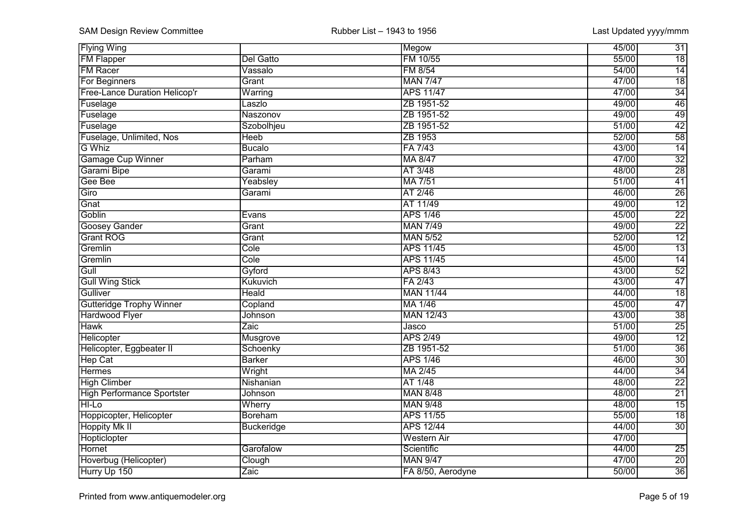| <b>Flying Wing</b>                   |                   | Megow              | $\overline{31}$<br>45/00 |
|--------------------------------------|-------------------|--------------------|--------------------------|
| <b>FM Flapper</b>                    | Del Gatto         | FM 10/55           | $\overline{18}$<br>55/00 |
| <b>FM Racer</b>                      | Vassalo           | FM 8/54            | 54/00<br>$\overline{14}$ |
| <b>For Beginners</b>                 | Grant             | <b>MAN 7/47</b>    | 47/00<br>$\overline{18}$ |
| <b>Free-Lance Duration Helicop'r</b> | Warring           | <b>APS 11/47</b>   | 47/00<br>$\overline{34}$ |
| Fuselage                             | Laszlo            | ZB 1951-52         | 49/00<br>46              |
| Fuselage                             | Naszonov          | ZB 1951-52         | 49<br>49/00              |
| Fuselage                             | Szobolhjeu        | ZB 1951-52         | 42<br>51/00              |
| Fuselage, Unlimited, Nos             | Heeb              | ZB 1953            | 58<br>52/00              |
| G Whiz                               | <b>Bucalo</b>     | FA 7/43            | $\overline{14}$<br>43/00 |
| <b>Gamage Cup Winner</b>             | Parham            | MA 8/47            | $\overline{32}$<br>47/00 |
| Garami Bipe                          | Garami            | AT 3/48            | $\overline{28}$<br>48/00 |
| Gee Bee                              | Yeabsley          | MA 7/51            | $\overline{41}$<br>51/00 |
| Giro                                 | Garami            | AT 2/46            | $\overline{26}$<br>46/00 |
| Gnat                                 |                   | AT 11/49           | $\overline{12}$<br>49/00 |
| Goblin                               | Evans             | <b>APS 1/46</b>    | $\overline{22}$<br>45/00 |
| Goosey Gander                        | Grant             | <b>MAN 7/49</b>    | $\overline{22}$<br>49/00 |
| <b>Grant ROG</b>                     | Grant             | <b>MAN 5/52</b>    | $\overline{12}$<br>52/00 |
| Gremlin                              | Cole              | <b>APS 11/45</b>   | $\overline{13}$<br>45/00 |
| Gremlin                              | Cole              | <b>APS 11/45</b>   | $\overline{14}$<br>45/00 |
| Gull                                 | Gyford            | <b>APS 8/43</b>    | $\overline{52}$<br>43/00 |
| <b>Gull Wing Stick</b>               | Kukuvich          | FA 2/43            | $\overline{47}$<br>43/00 |
| Gulliver                             | Heald             | <b>MAN 11/44</b>   | $\overline{18}$<br>44/00 |
| <b>Gutteridge Trophy Winner</b>      | Copland           | MA 1/46            | 47<br>45/00              |
| Hardwood Flyer                       | Johnson           | <b>MAN 12/43</b>   | $\overline{38}$<br>43/00 |
| <b>Hawk</b>                          | Zaic              | Jasco              | $\overline{25}$<br>51/00 |
| Helicopter                           | Musgrove          | <b>APS 2/49</b>    | $\overline{12}$<br>49/00 |
| Helicopter, Eggbeater II             | Schoenky          | ZB 1951-52         | $\overline{36}$<br>51/00 |
| <b>Hep Cat</b>                       | <b>Barker</b>     | <b>APS 1/46</b>    | $\overline{30}$<br>46/00 |
| <b>Hermes</b>                        | Wright            | MA 2/45            | $\overline{34}$<br>44/00 |
| <b>High Climber</b>                  | Nishanian         | AT 1/48            | $\overline{22}$<br>48/00 |
| <b>High Performance Sportster</b>    | Johnson           | <b>MAN 8/48</b>    | $\overline{21}$<br>48/00 |
| <b>HI-Lo</b>                         | Wherry            | <b>MAN 9/48</b>    | $\overline{15}$<br>48/00 |
| Hoppicopter, Helicopter              | <b>Boreham</b>    | <b>APS 11/55</b>   | 55/00<br>$\overline{18}$ |
| <b>Hoppity Mk II</b>                 | <b>Buckeridge</b> | <b>APS 12/44</b>   | $\overline{30}$<br>44/00 |
| Hopticlopter                         |                   | <b>Western Air</b> | 47/00                    |
| <b>Hornet</b>                        | Garofalow         | Scientific         | 44/00<br>$\overline{25}$ |
| Hoverbug (Helicopter)                | Clough            | <b>MAN 9/47</b>    | $\overline{20}$<br>47/00 |
| Hurry Up 150                         | Zaic              | FA 8/50, Aerodyne  | $\overline{36}$<br>50/00 |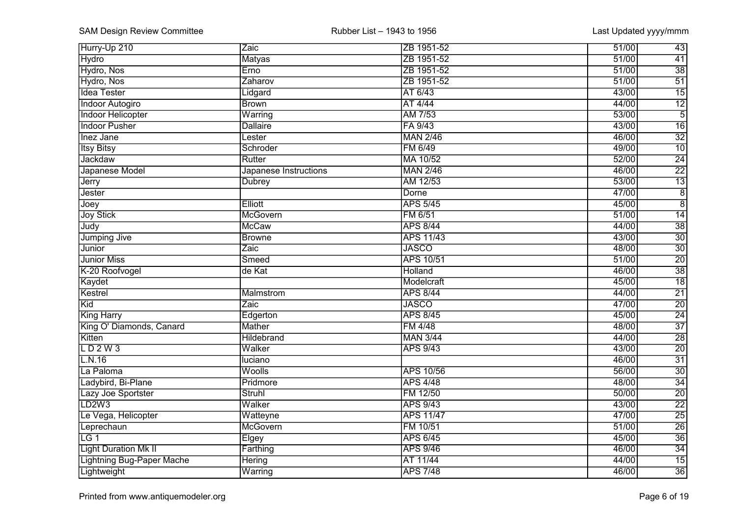| Hurry-Up 210                     | Zaic                  | ZB 1951-52       | 51/00<br>$\overline{43}$ |
|----------------------------------|-----------------------|------------------|--------------------------|
| <b>Hydro</b>                     | <b>Matyas</b>         | ZB 1951-52       | 41<br>51/00              |
| Hydro, Nos                       | Erno                  | ZB 1951-52       | $\overline{38}$<br>51/00 |
| Hydro, Nos                       | Zaharov               | ZB 1951-52       | 51<br>51/00              |
| <b>Idea Tester</b>               | Lidgard               | AT 6/43          | $\overline{15}$<br>43/00 |
| <b>Indoor Autogiro</b>           | <b>Brown</b>          | AT 4/44          | $\overline{12}$<br>44/00 |
| <b>Indoor Helicopter</b>         | Warring               | AM 7/53          | $\overline{5}$<br>53/00  |
| <b>Indoor Pusher</b>             | <b>Dallaire</b>       | FA 9/43          | $\overline{16}$<br>43/00 |
| <b>Inez Jane</b>                 | Lester                | <b>MAN 2/46</b>  | 32<br>46/00              |
| <b>Itsy Bitsy</b>                | Schroder              | FM 6/49          | $\overline{10}$<br>49/00 |
| Jackdaw                          | Rutter                | MA 10/52         | $\overline{24}$<br>52/00 |
| Japanese Model                   | Japanese Instructions | <b>MAN 2/46</b>  | $\overline{22}$<br>46/00 |
| Jerry                            | Dubrey                | AM 12/53         | $\overline{13}$<br>53/00 |
| Jester                           |                       | Dorne            | $\overline{8}$<br>47/00  |
| Joey                             | Elliott               | <b>APS 5/45</b>  | $\overline{8}$<br>45/00  |
| <b>Joy Stick</b>                 | McGovern              | FM 6/51          | $\overline{14}$<br>51/00 |
| Judy                             | <b>McCaw</b>          | <b>APS 8/44</b>  | $\overline{38}$<br>44/00 |
| <b>Jumping Jive</b>              | Browne                | <b>APS 11/43</b> | $\overline{30}$<br>43/00 |
| <b>Junior</b>                    | Zaic                  | <b>JASCO</b>     | $\overline{30}$<br>48/00 |
| <b>Junior Miss</b>               | Smeed                 | <b>APS 10/51</b> | $\overline{20}$<br>51/00 |
| K-20 Roofvogel                   | de Kat                | Holland          | $\overline{38}$<br>46/00 |
| Kaydet                           |                       | Modelcraft       | $\overline{18}$<br>45/00 |
| Kestrel                          | Malmstrom             | <b>APS 8/44</b>  | $\overline{21}$<br>44/00 |
| Kid                              | Zaic                  | <b>JASCO</b>     | $\overline{20}$<br>47/00 |
| <b>King Harry</b>                | Edgerton              | <b>APS 8/45</b>  | $\overline{24}$<br>45/00 |
| King O' Diamonds, Canard         | Mather                | FM 4/48          | $\overline{37}$<br>48/00 |
| Kitten                           | <b>Hildebrand</b>     | <b>MAN 3/44</b>  | $\overline{28}$<br>44/00 |
| LD2W3                            | Walker                | <b>APS 9/43</b>  | $\overline{20}$<br>43/00 |
| L.N.16                           | luciano               |                  | $\overline{31}$<br>46/00 |
| La Paloma                        | Woolls                | <b>APS 10/56</b> | 30<br>56/00              |
| Ladybird, Bi-Plane               | Pridmore              | <b>APS 4/48</b>  | $\overline{34}$<br>48/00 |
| Lazy Joe Sportster               | Struhl                | FM 12/50         | $\overline{20}$<br>50/00 |
| LD <sub>2W3</sub>                | Walker                | <b>APS 9/43</b>  | $\overline{22}$<br>43/00 |
| Le Vega, Helicopter              | Watteyne              | <b>APS 11/47</b> | $\overline{25}$<br>47/00 |
| Leprechaun                       | McGovern              | FM 10/51         | $\overline{26}$<br>51/00 |
| $\overline{LG1}$                 | Elgey                 | <b>APS 6/45</b>  | $\overline{36}$<br>45/00 |
| <b>Light Duration Mk II</b>      | Farthing              | <b>APS 9/46</b>  | $\overline{34}$<br>46/00 |
| <b>Lightning Bug-Paper Mache</b> | <b>Hering</b>         | AT 11/44         | $\overline{15}$<br>44/00 |
| Lightweight                      | Warring               | <b>APS 7/48</b>  | $\overline{36}$<br>46/00 |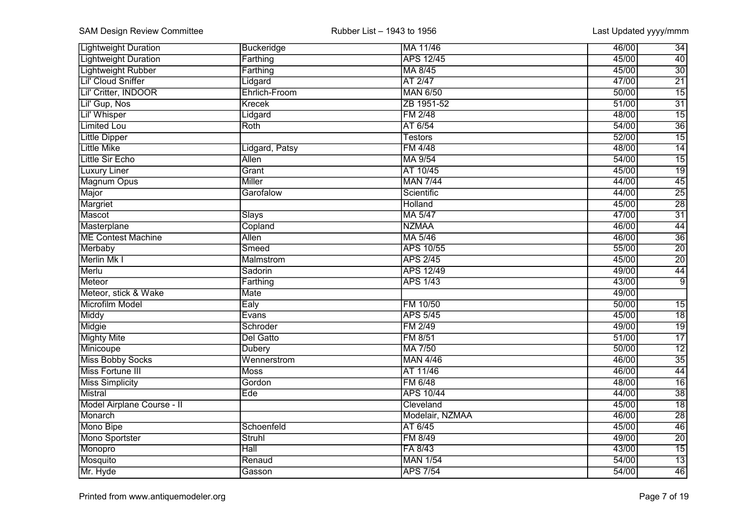| <b>Lightweight Duration</b> | Buckeridge     | MA 11/46         | 34<br>46/00              |
|-----------------------------|----------------|------------------|--------------------------|
| <b>Lightweight Duration</b> | Farthing       | <b>APS 12/45</b> | $\overline{40}$<br>45/00 |
| <b>Lightweight Rubber</b>   | Farthing       | MA 8/45          | $\overline{30}$<br>45/00 |
| Lil' Cloud Sniffer          | Lidgard        | AT 2/47          | 21<br>47/00              |
| Lil' Critter, INDOOR        | Ehrlich-Froom  | <b>MAN 6/50</b>  | $\overline{15}$<br>50/00 |
| Lil' Gup, Nos               | Krecek         | ZB 1951-52       | $\overline{31}$<br>51/00 |
| Lil' Whisper                | Lidgard        | <b>FM 2/48</b>   | $\overline{15}$<br>48/00 |
| <b>Limited Lou</b>          | Roth           | AT 6/54          | $\overline{36}$<br>54/00 |
| <b>Little Dipper</b>        |                | <b>Testors</b>   | $\overline{15}$<br>52/00 |
| <b>Little Mike</b>          | Lidgard, Patsy | <b>FM 4/48</b>   | $\overline{14}$<br>48/00 |
| <b>Little Sir Echo</b>      | Allen          | MA 9/54          | $\overline{15}$<br>54/00 |
| <b>Luxury Liner</b>         | Grant          | AT 10/45         | 19<br>45/00              |
| <b>Magnum Opus</b>          | <b>Miller</b>  | <b>MAN 7/44</b>  | $\overline{45}$<br>44/00 |
| Major                       | Garofalow      | Scientific       | $\overline{25}$<br>44/00 |
| Margriet                    |                | Holland          | $\overline{28}$<br>45/00 |
| Mascot                      | <b>Slays</b>   | MA 5/47          | $\overline{31}$<br>47/00 |
| Masterplane                 | Copland        | <b>NZMAA</b>     | $\overline{44}$<br>46/00 |
| <b>ME Contest Machine</b>   | <b>Allen</b>   | MA 5/46          | $\overline{36}$<br>46/00 |
| Merbaby                     | Smeed          | <b>APS 10/55</b> | $\overline{20}$<br>55/00 |
| Merlin Mk I                 | Malmstrom      | <b>APS 2/45</b>  | $\overline{20}$<br>45/00 |
| Merlu                       | Sadorin        | <b>APS 12/49</b> | $\overline{44}$<br>49/00 |
| Meteor                      | Farthing       | <b>APS 1/43</b>  | $\overline{9}$<br>43/00  |
| Meteor, stick & Wake        | <b>Mate</b>    |                  | 49/00                    |
| Microfilm Model             | Ealy           | FM 10/50         | 50/00<br>15              |
| Middy                       | Evans          | <b>APS 5/45</b>  | $\overline{18}$<br>45/00 |
| Midgie                      | Schroder       | FM 2/49          | $\overline{19}$<br>49/00 |
| <b>Mighty Mite</b>          | Del Gatto      | FM 8/51          | 17<br>51/00              |
| Minicoupe                   | Dubery         | MA 7/50          | $\overline{12}$<br>50/00 |
| <b>Miss Bobby Socks</b>     | Wennerstrom    | <b>MAN 4/46</b>  | $\overline{35}$<br>46/00 |
| Miss Fortune III            | Moss           | AT 11/46         | 44<br>46/00              |
| <b>Miss Simplicity</b>      | Gordon         | FM 6/48          | $\overline{16}$<br>48/00 |
| Mistral                     | Ede            | <b>APS 10/44</b> | $\overline{38}$<br>44/00 |
| Model Airplane Course - II  |                | Cleveland        | $\overline{18}$<br>45/00 |
| Monarch                     |                | Modelair, NZMAA  | $\overline{28}$<br>46/00 |
| Mono Bipe                   | Schoenfeld     | AT 6/45          | $\overline{46}$<br>45/00 |
| Mono Sportster              | <b>Struhl</b>  | FM 8/49          | $\overline{20}$<br>49/00 |
| Monopro                     | Hall           | FA 8/43          | $\overline{15}$<br>43/00 |
| Mosquito                    | Renaud         | <b>MAN 1/54</b>  | $\overline{13}$<br>54/00 |
| Mr. Hyde                    | Gasson         | <b>APS 7/54</b>  | $\overline{46}$<br>54/00 |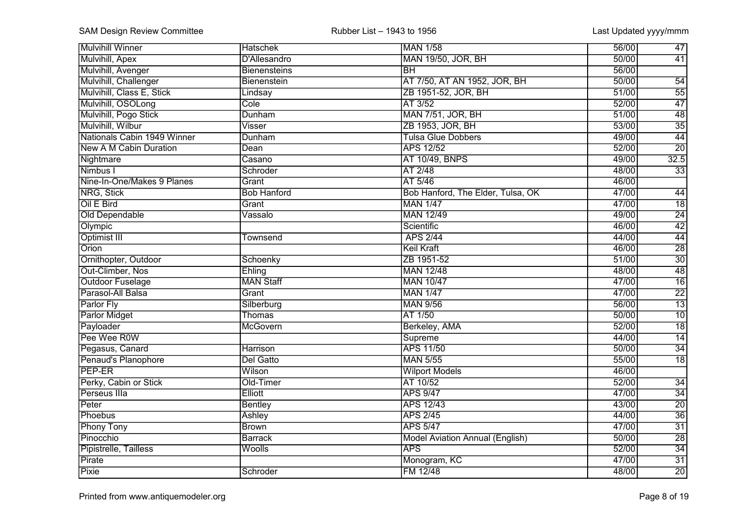| <b>Mulvihill Winner</b>     | <b>Hatschek</b>     | <b>MAN 1/58</b>                        | 56/00 | 47              |
|-----------------------------|---------------------|----------------------------------------|-------|-----------------|
| Mulvihill, Apex             | D'Allesandro        | <b>MAN 19/50, JOR, BH</b>              | 50/00 | $\overline{41}$ |
| Mulvihill, Avenger          | <b>Bienensteins</b> | <b>BH</b>                              | 56/00 |                 |
| Mulvihill, Challenger       | Bienenstein         | AT 7/50, AT AN 1952, JOR, BH           | 50/00 | 54              |
| Mulvihill, Class E, Stick   | Lindsay             | ZB 1951-52, JOR, BH                    | 51/00 | $\overline{55}$ |
| Mulvihill, OSOLong          | Cole                | AT 3/52                                | 52/00 | 47              |
| Mulvihill, Pogo Stick       | Dunham              | <b>MAN 7/51, JOR, BH</b>               | 51/00 | 48              |
| Mulvihill, Wilbur           | Visser              | ZB 1953, JOR, BH                       | 53/00 | $\overline{35}$ |
| Nationals Cabin 1949 Winner | Dunham              | <b>Tulsa Glue Dobbers</b>              | 49/00 | 44              |
| New A M Cabin Duration      | Dean                | <b>APS 12/52</b>                       | 52/00 | $\overline{20}$ |
| Nightmare                   | Casano              | AT 10/49, BNPS                         | 49/00 | 32.5            |
| Nimbus I                    | Schroder            | AT 2/48                                | 48/00 | $\overline{33}$ |
| Nine-In-One/Makes 9 Planes  | Grant               | AT 5/46                                | 46/00 |                 |
| NRG, Stick                  | <b>Bob Hanford</b>  | Bob Hanford, The Elder, Tulsa, OK      | 47/00 | $\overline{44}$ |
| Oil E Bird                  | Grant               | <b>MAN 1/47</b>                        | 47/00 | $\overline{18}$ |
| Old Dependable              | Vassalo             | <b>MAN 12/49</b>                       | 49/00 | $\overline{24}$ |
| Olympic                     |                     | Scientific                             | 46/00 | $\overline{42}$ |
| <b>Optimist III</b>         | Townsend            | <b>APS 2/44</b>                        | 44/00 | 44              |
| <b>Orion</b>                |                     | <b>Keil Kraft</b>                      | 46/00 | $\overline{28}$ |
| Ornithopter, Outdoor        | Schoenky            | ZB 1951-52                             | 51/00 | $\overline{30}$ |
| Out-Climber, Nos            | Ehling              | <b>MAN 12/48</b>                       | 48/00 | $\overline{48}$ |
| Outdoor Fuselage            | <b>MAN Staff</b>    | <b>MAN 10/47</b>                       | 47/00 | $\overline{16}$ |
| Parasol-All Balsa           | Grant               | <b>MAN 1/47</b>                        | 47/00 | $\overline{22}$ |
| Parlor Fly                  | Silberburg          | <b>MAN 9/56</b>                        | 56/00 | $\overline{13}$ |
| <b>Parlor Midget</b>        | Thomas              | AT 1/50                                | 50/00 | 10              |
| Payloader                   | McGovern            | Berkeley, AMA                          | 52/00 | $\overline{18}$ |
| Pee Wee R0W                 |                     | Supreme                                | 44/00 | $\overline{14}$ |
| Pegasus, Canard             | <b>Harrison</b>     | <b>APS 11/50</b>                       | 50/00 | 34              |
| Penaud's Planophore         | Del Gatto           | <b>MAN 5/55</b>                        | 55/00 | $\overline{18}$ |
| <b>PEP-ER</b>               | Wilson              | <b>Wilport Models</b>                  | 46/00 |                 |
| Perky, Cabin or Stick       | Old-Timer           | AT 10/52                               | 52/00 | 34              |
| Perseus IIIa                | Elliott             | <b>APS 9/47</b>                        | 47/00 | $\overline{34}$ |
| Peter                       | <b>Bentley</b>      | <b>APS 12/43</b>                       | 43/00 | $\overline{20}$ |
| Phoebus                     | Ashley              | <b>APS 2/45</b>                        | 44/00 | $\overline{36}$ |
| <b>Phony Tony</b>           | <b>Brown</b>        | <b>APS 5/47</b>                        | 47/00 | $\overline{31}$ |
| Pinocchio                   | <b>Barrack</b>      | <b>Model Aviation Annual (English)</b> | 50/00 | $\overline{28}$ |
| Pipistrelle, Tailless       | Woolls              | <b>APS</b>                             | 52/00 | $\overline{34}$ |
| Pirate                      |                     | Monogram, KC                           | 47/00 | $\overline{31}$ |
| Pixie                       | Schroder            | FM 12/48                               | 48/00 | $\overline{20}$ |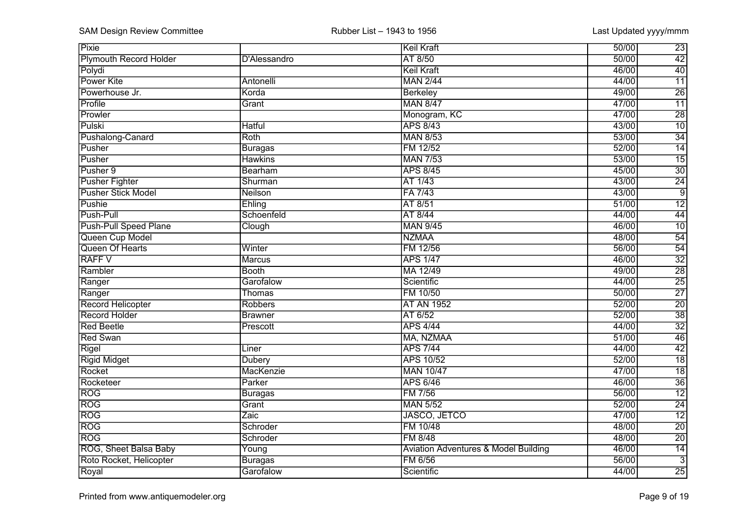| <b>Pixie</b>              |                | Keil Kraft                                      | 50/00 | $\overline{23}$ |
|---------------------------|----------------|-------------------------------------------------|-------|-----------------|
| Plymouth Record Holder    | D'Alessandro   | AT 8/50                                         | 50/00 | $\overline{42}$ |
| Polydi                    |                | <b>Keil Kraft</b>                               | 46/00 | 40              |
| Power Kite                | Antonelli      | <b>MAN 2/44</b>                                 | 44/00 | $\overline{11}$ |
| Powerhouse Jr.            | Korda          | <b>Berkeley</b>                                 | 49/00 | $\overline{26}$ |
| Profile                   | Grant          | <b>MAN 8/47</b>                                 | 47/00 | $\overline{11}$ |
| Prowler                   |                | Monogram, KC                                    | 47/00 | 28              |
| Pulski                    | <b>Hatful</b>  | <b>APS 8/43</b>                                 | 43/00 | $\overline{10}$ |
| Pushalong-Canard          | Roth           | <b>MAN 8/53</b>                                 | 53/00 | $\overline{34}$ |
| Pusher                    | <b>Buragas</b> | FM 12/52                                        | 52/00 | $\overline{14}$ |
| Pusher                    | <b>Hawkins</b> | <b>MAN 7/53</b>                                 | 53/00 | $\overline{15}$ |
| Pusher 9                  | Bearham        | <b>APS 8/45</b>                                 | 45/00 | $\overline{30}$ |
| <b>Pusher Fighter</b>     | Shurman        | AT 1/43                                         | 43/00 | $\overline{24}$ |
| <b>Pusher Stick Model</b> | Neilson        | FA 7/43                                         | 43/00 | $\overline{9}$  |
| Pushie                    | Ehling         | AT 8/51                                         | 51/00 | $\overline{12}$ |
| Push-Pull                 | Schoenfeld     | AT 8/44                                         | 44/00 | $\overline{44}$ |
| Push-Pull Speed Plane     | Clough         | <b>MAN 9/45</b>                                 | 46/00 | $\overline{10}$ |
| Queen Cup Model           |                | <b>NZMAA</b>                                    | 48/00 | 54              |
| Queen Of Hearts           | Winter         | FM 12/56                                        | 56/00 | $\overline{54}$ |
| <b>RAFFV</b>              | Marcus         | <b>APS 1/47</b>                                 | 46/00 | $\overline{32}$ |
| Rambler                   | <b>Booth</b>   | MA 12/49                                        | 49/00 | $\overline{28}$ |
| Ranger                    | Garofalow      | Scientific                                      | 44/00 | $\overline{25}$ |
| Ranger                    | Thomas         | FM 10/50                                        | 50/00 | $\overline{27}$ |
| <b>Record Helicopter</b>  | <b>Robbers</b> | <b>AT AN 1952</b>                               | 52/00 | $\overline{20}$ |
| <b>Record Holder</b>      | <b>Brawner</b> | AT 6/52                                         | 52/00 | $\overline{38}$ |
| <b>Red Beetle</b>         | Prescott       | <b>APS 4/44</b>                                 | 44/00 | $\overline{32}$ |
| <b>Red Swan</b>           |                | MA, NZMAA                                       | 51/00 | 46              |
| Rigel                     | Liner          | <b>APS 7/44</b>                                 | 44/00 | 42              |
| <b>Rigid Midget</b>       | Dubery         | APS 10/52                                       | 52/00 | $\overline{18}$ |
| Rocket                    | MacKenzie      | <b>MAN 10/47</b>                                | 47/00 | $\overline{18}$ |
| Rocketeer                 | Parker         | <b>APS 6/46</b>                                 | 46/00 | $\overline{36}$ |
| <b>ROG</b>                | <b>Buragas</b> | FM 7/56                                         | 56/00 | $\overline{12}$ |
| ROG                       | Grant          | <b>MAN 5/52</b>                                 | 52/00 | $\overline{24}$ |
| ROG                       | Zaic           | <b>JASCO, JETCO</b>                             | 47/00 | $\overline{12}$ |
| ROG                       | Schroder       | FM 10/48                                        | 48/00 | $\overline{20}$ |
| <b>ROG</b>                | Schroder       | <b>FM 8/48</b>                                  | 48/00 | $\overline{20}$ |
| ROG, Sheet Balsa Baby     | Young          | <b>Aviation Adventures &amp; Model Building</b> | 46/00 | $\overline{14}$ |
| Roto Rocket, Helicopter   | <b>Buragas</b> | FM 6/56                                         | 56/00 | $\overline{3}$  |
| Royal                     | Garofalow      | Scientific                                      | 44/00 | $\overline{25}$ |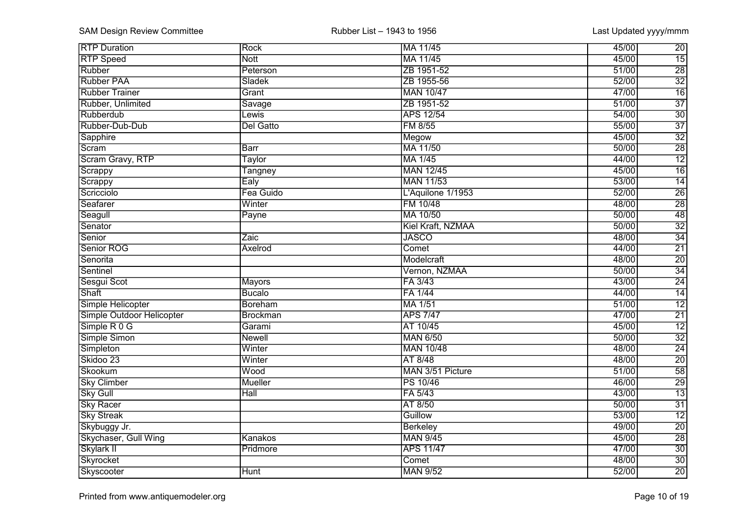| <b>RTP Duration</b>       | Rock            | MA 11/45          | $\overline{20}$<br>45/00 |
|---------------------------|-----------------|-------------------|--------------------------|
| <b>RTP</b> Speed          | <b>Nott</b>     | MA 11/45          | $\overline{15}$<br>45/00 |
| Rubber                    | Peterson        | ZB 1951-52        | $\overline{28}$<br>51/00 |
| Rubber PAA                | Sladek          | ZB 1955-56        | $\overline{32}$<br>52/00 |
| <b>Rubber Trainer</b>     | Grant           | <b>MAN 10/47</b>  | $\overline{16}$<br>47/00 |
| Rubber, Unlimited         | Savage          | ZB 1951-52        | $\overline{37}$<br>51/00 |
| Rubberdub                 | Lewis           | <b>APS 12/54</b>  | $\overline{30}$<br>54/00 |
| Rubber-Dub-Dub            | Del Gatto       | FM 8/55           | $\overline{37}$<br>55/00 |
| Sapphire                  |                 | Megow             | $\overline{32}$<br>45/00 |
| Scram                     | <b>Barr</b>     | MA 11/50          | $\overline{28}$<br>50/00 |
| Scram Gravy, RTP          | Taylor          | MA 1/45           | $\overline{12}$<br>44/00 |
| Scrappy                   | Tangney         | <b>MAN 12/45</b>  | $\overline{16}$<br>45/00 |
| Scrappy                   | Ealy            | <b>MAN 11/53</b>  | $\overline{14}$<br>53/00 |
| Scricciolo                | Fea Guido       | L'Aquilone 1/1953 | $\overline{26}$<br>52/00 |
| Seafarer                  | Winter          | FM 10/48          | $\overline{28}$<br>48/00 |
| Seagull                   | Payne           | MA 10/50          | $\overline{48}$<br>50/00 |
| Senator                   |                 | Kiel Kraft, NZMAA | $\overline{32}$<br>50/00 |
| Senior                    | Zaic            | <b>JASCO</b>      | $\overline{34}$<br>48/00 |
| Senior ROG                | Axelrod         | Comet             | $\overline{21}$<br>44/00 |
| Senorita                  |                 | Modelcraft        | $\overline{20}$<br>48/00 |
| Sentinel                  |                 | Vernon, NZMAA     | $\overline{34}$<br>50/00 |
| Sesgui Scot               | Mayors          | FA 3/43           | $\overline{24}$<br>43/00 |
| Shaft                     | <b>Bucalo</b>   | FA 1/44           | $\overline{14}$<br>44/00 |
| Simple Helicopter         | <b>Boreham</b>  | MA 1/51           | $\overline{12}$<br>51/00 |
| Simple Outdoor Helicopter | <b>Brockman</b> | <b>APS 7/47</b>   | $\overline{21}$<br>47/00 |
| Simple R 0 G              | Garami          | AT 10/45          | $\overline{12}$<br>45/00 |
| Simple Simon              | <b>Newell</b>   | <b>MAN 6/50</b>   | $\overline{32}$<br>50/00 |
| Simpleton                 | Winter          | <b>MAN 10/48</b>  | 24<br>48/00              |
| Skidoo 23                 | Winter          | AT 8/48           | $\overline{20}$<br>48/00 |
| Skookum                   | Wood            | MAN 3/51 Picture  | 58<br>51/00              |
| <b>Sky Climber</b>        | <b>Mueller</b>  | <b>PS 10/46</b>   | $\overline{29}$<br>46/00 |
| Sky Gull                  | Hall            | FA 5/43           | $\overline{13}$<br>43/00 |
| <b>Sky Racer</b>          |                 | AT 8/50           | $\overline{31}$<br>50/00 |
| <b>Sky Streak</b>         |                 | Guillow           | $\overline{12}$<br>53/00 |
| Skybuggy Jr.              |                 | <b>Berkeley</b>   | $\overline{20}$<br>49/00 |
| Skychaser, Gull Wing      | Kanakos         | <b>MAN 9/45</b>   | $\overline{28}$<br>45/00 |
| Skylark II                | Pridmore        | <b>APS 11/47</b>  | $\overline{30}$<br>47/00 |
| Skyrocket                 |                 | Comet             | $\overline{30}$<br>48/00 |
| Skyscooter                | Hunt            | <b>MAN 9/52</b>   | $\overline{20}$<br>52/00 |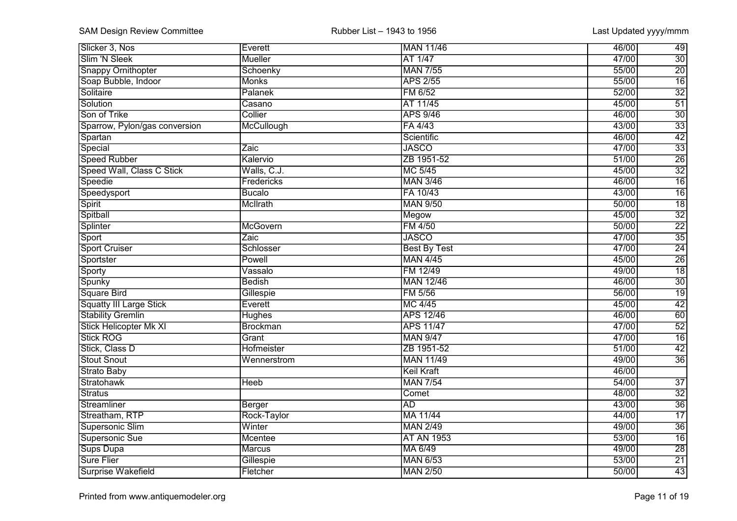| Slicker 3, Nos                 | Everett         | <b>MAN 11/46</b>    | 46/00<br>49              |
|--------------------------------|-----------------|---------------------|--------------------------|
| Slim 'N Sleek                  | Mueller         | AT 1/47             | $\overline{30}$<br>47/00 |
| <b>Snappy Ornithopter</b>      | Schoenky        | <b>MAN 7/55</b>     | $\overline{20}$<br>55/00 |
| Soap Bubble, Indoor            | <b>Monks</b>    | <b>APS 2/55</b>     | $\overline{16}$<br>55/00 |
| Solitaire                      | Palanek         | FM 6/52             | $\overline{32}$<br>52/00 |
| Solution                       | Casano          | AT 11/45            | 51<br>45/00              |
| Son of Trike                   | Collier         | <b>APS 9/46</b>     | 30<br>46/00              |
| Sparrow, Pylon/gas conversion  | McCullough      | FA 4/43             | $\overline{33}$<br>43/00 |
| Spartan                        |                 | Scientific          | 42<br>46/00              |
| Special                        | Zaic            | <b>JASCO</b>        | $\overline{33}$<br>47/00 |
| <b>Speed Rubber</b>            | Kalervio        | ZB 1951-52          | $\overline{26}$<br>51/00 |
| Speed Wall, Class C Stick      | Walls, C.J.     | MC 5/45             | $\overline{32}$<br>45/00 |
| Speedie                        | Fredericks      | <b>MAN 3/46</b>     | $\overline{16}$<br>46/00 |
| Speedysport                    | <b>Bucalo</b>   | FA 10/43            | $\overline{16}$<br>43/00 |
| <b>Spirit</b>                  | McIlrath        | <b>MAN 9/50</b>     | $\overline{18}$<br>50/00 |
| Spitball                       |                 | Megow               | $\overline{32}$<br>45/00 |
| Splinter                       | McGovern        | <b>FM 4/50</b>      | $\overline{22}$<br>50/00 |
| Sport                          | Zaic            | <b>JASCO</b>        | $\overline{35}$<br>47/00 |
| <b>Sport Cruiser</b>           | Schlosser       | <b>Best By Test</b> | $\overline{24}$<br>47/00 |
| Sportster                      | Powell          | <b>MAN 4/45</b>     | $\overline{26}$<br>45/00 |
| Sporty                         | Vassalo         | FM 12/49            | $\overline{18}$<br>49/00 |
| Spunky                         | <b>Bedish</b>   | <b>MAN 12/46</b>    | $\overline{30}$<br>46/00 |
| <b>Square Bird</b>             | Gillespie       | FM 5/56             | $\overline{19}$<br>56/00 |
| <b>Squatty III Large Stick</b> | Everett         | MC 4/45             | 42<br>45/00              |
| <b>Stability Gremlin</b>       | <b>Hughes</b>   | <b>APS 12/46</b>    | 60<br>46/00              |
| <b>Stick Helicopter Mk XI</b>  | <b>Brockman</b> | <b>APS 11/47</b>    | $\overline{52}$<br>47/00 |
| <b>Stick ROG</b>               | Grant           | <b>MAN 9/47</b>     | $\overline{16}$<br>47/00 |
| Stick, Class D                 | Hofmeister      | ZB 1951-52          | 42<br>51/00              |
| <b>Stout Snout</b>             | Wennerstrom     | <b>MAN 11/49</b>    | $\overline{36}$<br>49/00 |
| <b>Strato Baby</b>             |                 | <b>Keil Kraft</b>   | 46/00                    |
| Stratohawk                     | <b>Heeb</b>     | <b>MAN 7/54</b>     | 54/00<br>$\overline{37}$ |
| Stratus                        |                 | Comet               | $\overline{32}$<br>48/00 |
| Streamliner                    | Berger          | <b>AD</b>           | $\overline{36}$<br>43/00 |
| Streatham, RTP                 | Rock-Taylor     | MA 11/44            | $\overline{17}$<br>44/00 |
| Supersonic Slim                | Winter          | <b>MAN 2/49</b>     | $\overline{36}$<br>49/00 |
| Supersonic Sue                 | Mcentee         | <b>AT AN 1953</b>   | $\overline{16}$<br>53/00 |
| Sups Dupa                      | <b>Marcus</b>   | MA 6/49             | $\overline{28}$<br>49/00 |
| <b>Sure Flier</b>              | Gillespie       | <b>MAN 6/53</b>     | $\overline{21}$<br>53/00 |
| Surprise Wakefield             | Fletcher        | <b>MAN 2/50</b>     | $\overline{43}$<br>50/00 |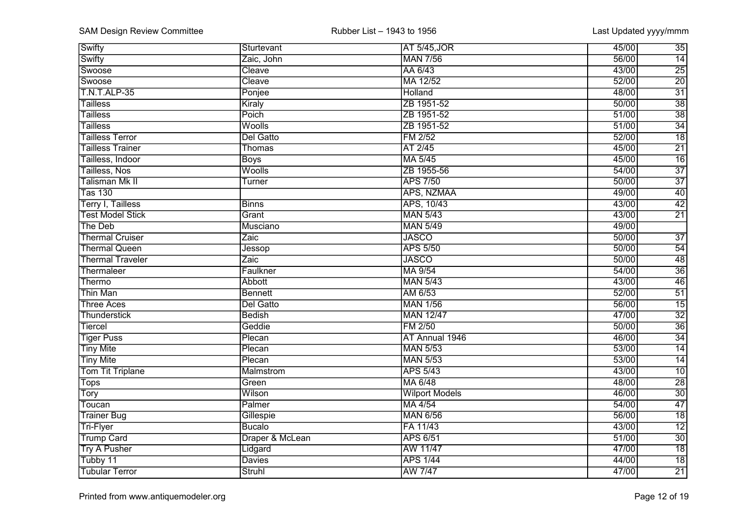| Swifty                       | Sturtevant      | <b>AT 5/45, JOR</b>   | $\overline{35}$<br>45/00 |
|------------------------------|-----------------|-----------------------|--------------------------|
| Swifty                       | Zaic, John      | <b>MAN 7/56</b>       | $\overline{14}$<br>56/00 |
| Swoose                       | Cleave          | AA 6/43               | $\overline{25}$<br>43/00 |
| Swoose                       | Cleave          | MA 12/52              | $\overline{20}$<br>52/00 |
| <b>T.N.T.ALP-35</b>          | Ponjee          | Holland               | $\overline{31}$<br>48/00 |
| <b>Tailless</b>              | Kiraly          | ZB 1951-52            | $\overline{38}$<br>50/00 |
| <b>Tailless</b>              | Poich           | ZB 1951-52            | $\overline{38}$<br>51/00 |
| <b>Tailless</b>              | Woolls          | ZB 1951-52            | $\overline{34}$<br>51/00 |
| <b>Tailless Terror</b>       | Del Gatto       | FM 2/52               | $\overline{18}$<br>52/00 |
| <b>Tailless Trainer</b>      | Thomas          | AT 2/45               | 21<br>45/00              |
| Tailless, Indoor             | <b>Boys</b>     | MA 5/45               | $\overline{16}$<br>45/00 |
| Tailless, Nos                | Woolls          | ZB 1955-56            | $\overline{37}$<br>54/00 |
| Talisman Mk II               | Turner          | <b>APS 7/50</b>       | $\overline{37}$<br>50/00 |
| $\overline{\text{T}}$ as 130 |                 | APS, NZMAA            | $\overline{40}$<br>49/00 |
| Terry I, Tailless            | <b>Binns</b>    | APS, 10/43            | $\overline{42}$<br>43/00 |
| <b>Test Model Stick</b>      | Grant           | <b>MAN 5/43</b>       | $\overline{21}$<br>43/00 |
| The Deb                      | Musciano        | <b>MAN 5/49</b>       | 49/00                    |
| <b>Thermal Cruiser</b>       | Zaic            | <b>JASCO</b>          | 50/00<br>$\overline{37}$ |
| <b>Thermal Queen</b>         | Jessop          | <b>APS 5/50</b>       | $\frac{54}{48}$<br>50/00 |
| <b>Thermal Traveler</b>      | Zaic            | <b>JASCO</b>          | 50/00                    |
| Thermaleer                   | Faulkner        | MA 9/54               | $\overline{36}$<br>54/00 |
| Thermo                       | <b>Abbott</b>   | <b>MAN 5/43</b>       | $\overline{46}$<br>43/00 |
| <b>Thin Man</b>              | <b>Bennett</b>  | AM 6/53               | $\overline{51}$<br>52/00 |
| <b>Three Aces</b>            | Del Gatto       | <b>MAN 1/56</b>       | $\overline{15}$<br>56/00 |
| <b>Thunderstick</b>          | <b>Bedish</b>   | <b>MAN 12/47</b>      | $\overline{32}$<br>47/00 |
| Tiercel                      | Geddie          | FM 2/50               | $\overline{36}$<br>50/00 |
| <b>Tiger Puss</b>            | Plecan          | AT Annual 1946        | $\overline{34}$<br>46/00 |
| <b>Tiny Mite</b>             | Plecan          | <b>MAN 5/53</b>       | $\overline{14}$<br>53/00 |
| <b>Tiny Mite</b>             | Plecan          | <b>MAN 5/53</b>       | 53/00<br>14              |
| <b>Tom Tit Triplane</b>      | Malmstrom       | <b>APS 5/43</b>       | 10<br>43/00              |
| <b>Tops</b>                  | Green           | MA 6/48               | $\overline{28}$<br>48/00 |
| Tory                         | Wilson          | <b>Wilport Models</b> | $\overline{30}$<br>46/00 |
| Toucan                       | Palmer          | MA 4/54               | $\overline{47}$<br>54/00 |
| <b>Trainer Bug</b>           | Gillespie       | <b>MAN 6/56</b>       | $\overline{18}$<br>56/00 |
| <b>Tri-Flyer</b>             | <b>Bucalo</b>   | FA 11/43              | $\overline{12}$<br>43/00 |
| <b>Trump Card</b>            | Draper & McLean | <b>APS 6/51</b>       | $\overline{30}$<br>51/00 |
| <b>Try A Pusher</b>          | Lidgard         | AW 11/47              | $\overline{18}$<br>47/00 |
| Tubby 11                     | <b>Davies</b>   | <b>APS 1/44</b>       | $\overline{18}$<br>44/00 |
| <b>Tubular Terror</b>        | Struhl          | <b>AW 7/47</b>        | $\overline{21}$<br>47/00 |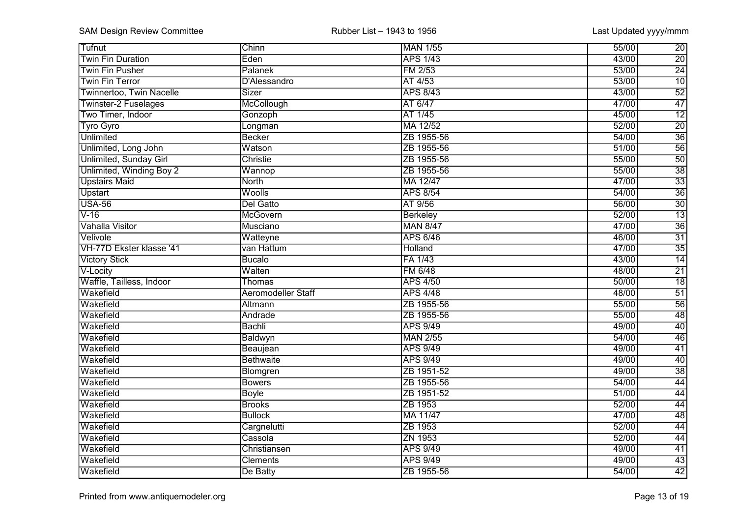| Tufnut                   | Chinn                     | <b>MAN 1/55</b> | 55/00<br>$\overline{20}$ |
|--------------------------|---------------------------|-----------------|--------------------------|
| <b>Twin Fin Duration</b> | Eden                      | <b>APS 1/43</b> | $\overline{20}$<br>43/00 |
| <b>Twin Fin Pusher</b>   | Palanek                   | FM 2/53         | $\overline{24}$<br>53/00 |
| <b>Twin Fin Terror</b>   | D'Alessandro              | AT 4/53         | 53/00<br>$\overline{10}$ |
| Twinnertoo, Twin Nacelle | Sizer                     | <b>APS 8/43</b> | 52<br>43/00              |
| Twinster-2 Fuselages     | McCollough                | AT 6/47         | 47<br>47/00              |
| Two Timer, Indoor        | Gonzoph                   | AT 1/45         | $\overline{12}$<br>45/00 |
| <b>Tyro Gyro</b>         | Longman                   | MA 12/52        | $\overline{20}$<br>52/00 |
| <b>Unlimited</b>         | Becker                    | ZB 1955-56      | $\overline{36}$<br>54/00 |
| Unlimited, Long John     | Watson                    | ZB 1955-56      | 56<br>51/00              |
| Unlimited, Sunday Girl   | Christie                  | ZB 1955-56      | $\overline{50}$<br>55/00 |
| Unlimited, Winding Boy 2 | Wannop                    | ZB 1955-56      | $\overline{38}$<br>55/00 |
| <b>Upstairs Maid</b>     | North                     | MA 12/47        | $\overline{33}$<br>47/00 |
| <b>Upstart</b>           | Woolls                    | <b>APS 8/54</b> | $\overline{36}$<br>54/00 |
| <b>USA-56</b>            | Del Gatto                 | AT 9/56         | $\overline{30}$<br>56/00 |
| V-16                     | McGovern                  | Berkeley        | $\overline{13}$<br>52/00 |
| Vahalla Visitor          | Musciano                  | <b>MAN 8/47</b> | $\overline{36}$<br>47/00 |
| Velivole                 | Watteyne                  | <b>APS 6/46</b> | $\overline{31}$<br>46/00 |
| VH-77D Ekster klasse '41 | van Hattum                | Holland         | $\overline{35}$<br>47/00 |
| <b>Victory Stick</b>     | <b>Bucalo</b>             | FA 1/43         | $\overline{14}$<br>43/00 |
| V-Locity                 | Walten                    | FM 6/48         | $\overline{21}$<br>48/00 |
| Waffle, Tailless, Indoor | <b>Thomas</b>             | <b>APS 4/50</b> | 50/00<br>18              |
| Wakefield                | <b>Aeromodeller Staff</b> | <b>APS 4/48</b> | 48/00<br>$\overline{51}$ |
| Wakefield                | Altmann                   | ZB 1955-56      | 56<br>55/00              |
| Wakefield                | Andrade                   | ZB 1955-56      | 48<br>55/00              |
| Wakefield                | Bachli                    | <b>APS 9/49</b> | 40<br>49/00              |
| Wakefield                | Baldwyn                   | <b>MAN 2/55</b> | 46<br>54/00              |
| Wakefield                | Beaujean                  | <b>APS 9/49</b> | 41<br>49/00              |
| Wakefield                | <b>Bethwaite</b>          | <b>APS 9/49</b> | 49/00<br>40              |
| Wakefield                | Blomgren                  | ZB 1951-52      | $\overline{38}$<br>49/00 |
| Wakefield                | <b>Bowers</b>             | ZB 1955-56      | 44<br>54/00              |
| Wakefield                | Boyle                     | ZB 1951-52      | 51/00<br>$\overline{44}$ |
| Wakefield                | <b>Brooks</b>             | ZB 1953         | $\overline{44}$<br>52/00 |
| Wakefield                | <b>Bullock</b>            | MA 11/47        | $\overline{48}$<br>47/00 |
| Wakefield                | Cargnelutti               | ZB 1953         | 52/00<br>$\overline{44}$ |
| Wakefield                | Cassola                   | ZN 1953         | 52/00<br>$\overline{44}$ |
| Wakefield                | Christiansen              | <b>APS 9/49</b> | 49/00<br>$\overline{41}$ |
| Wakefield                | <b>Clements</b>           | <b>APS 9/49</b> | $\overline{43}$<br>49/00 |
| Wakefield                | De Batty                  | ZB 1955-56      | $\overline{42}$<br>54/00 |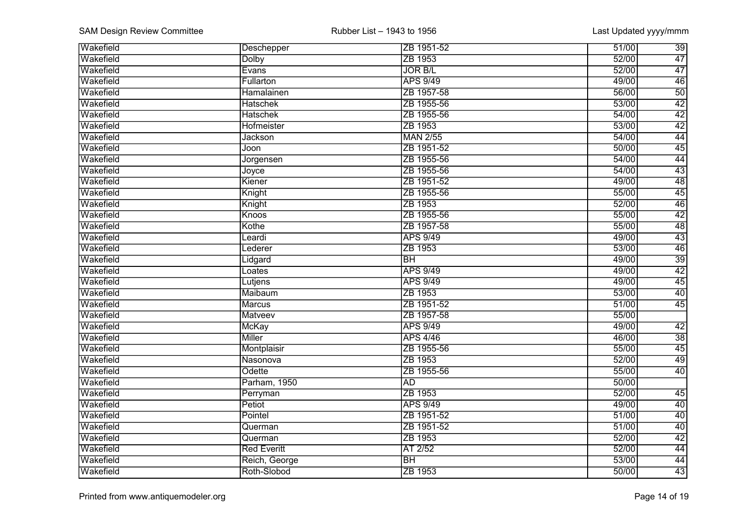| <b>Wakefield</b> | Deschepper         | ZB 1951-52      | $\overline{39}$<br>51/00 |
|------------------|--------------------|-----------------|--------------------------|
| Wakefield        | <b>Dolby</b>       | ZB 1953         | $\overline{47}$<br>52/00 |
| Wakefield        | Evans              | <b>JOR B/L</b>  | 47<br>52/00              |
| Wakefield        | Fullarton          | APS 9/49        | 46<br>49/00              |
| Wakefield        | Hamalainen         | ZB 1957-58      | 50<br>56/00              |
| Wakefield        | <b>Hatschek</b>    | ZB 1955-56      | 42<br>53/00              |
| Wakefield        | <b>Hatschek</b>    | ZB 1955-56      | 42<br>54/00              |
| Wakefield        | Hofmeister         | ZB 1953         | 42<br>53/00              |
| Wakefield        | <b>Jackson</b>     | <b>MAN 2/55</b> | 44<br>54/00              |
| Wakefield        | Joon               | ZB 1951-52      | 45<br>50/00              |
| Wakefield        | Jorgensen          | ZB 1955-56      | 54/00<br>44              |
| Wakefield        | Joyce              | ZB 1955-56      | 43<br>54/00              |
| Wakefield        | Kiener             | ZB 1951-52      | $\overline{48}$<br>49/00 |
| Wakefield        | Knight             | ZB 1955-56      | $\overline{45}$<br>55/00 |
| Wakefield        | Knight             | ZB 1953         | $\overline{46}$<br>52/00 |
| Wakefield        | Knoos              | ZB 1955-56      | $\overline{42}$<br>55/00 |
| Wakefield        | Kothe              | ZB 1957-58      | $\overline{48}$<br>55/00 |
| Wakefield        | Leardi             | <b>APS 9/49</b> | $\overline{43}$<br>49/00 |
| Wakefield        | Lederer            | ZB 1953         | $\overline{46}$<br>53/00 |
| Wakefield        | Lidgard            | $\overline{BH}$ | $\overline{39}$<br>49/00 |
| Wakefield        | Loates             | <b>APS 9/49</b> | $\overline{42}$<br>49/00 |
| Wakefield        | Lutjens            | <b>APS 9/49</b> | 45<br>49/00              |
| Wakefield        | Maibaum            | ZB 1953         | $\overline{40}$<br>53/00 |
| Wakefield        | <b>Marcus</b>      | ZB 1951-52      | 45<br>51/00              |
| Wakefield        | <b>Matveev</b>     | ZB 1957-58      | 55/00                    |
| Wakefield        | <b>McKay</b>       | <b>APS 9/49</b> | 49/00<br>42              |
| Wakefield        | <b>Miller</b>      | <b>APS 4/46</b> | 38<br>46/00              |
| Wakefield        | Montplaisir        | ZB 1955-56      | 45<br>55/00              |
| Wakefield        | Nasonova           | ZB 1953         | 49<br>52/00              |
| Wakefield        | Odette             | ZB 1955-56      | 40<br>55/00              |
| Wakefield        | Parham, 1950       | <b>AD</b>       | 50/00                    |
| Wakefield        | Perryman           | ZB 1953         | 52/00<br>$\overline{45}$ |
| Wakefield        | Petiot             | <b>APS 9/49</b> | 40<br>49/00              |
| Wakefield        | Pointel            | ZB 1951-52      | $\overline{40}$<br>51/00 |
| Wakefield        | Querman            | ZB 1951-52      | $\overline{40}$<br>51/00 |
| Wakefield        | Querman            | ZB 1953         | $\overline{42}$<br>52/00 |
| Wakefield        | <b>Red Everitt</b> | AT 2/52         | 52/00<br>$\overline{44}$ |
| Wakefield        | Reich, George      | $\overline{BH}$ | 53/00<br>$\overline{44}$ |
| Wakefield        | Roth-Slobod        | ZB 1953         | $\overline{43}$<br>50/00 |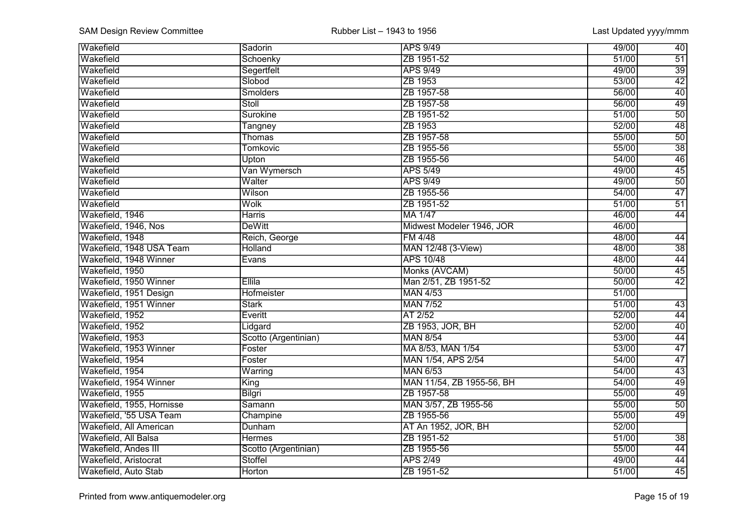| <b>Wakefield</b>          | Sadorin                    | <b>APS 9/49</b>           | 40<br>49/00              |
|---------------------------|----------------------------|---------------------------|--------------------------|
| Wakefield                 | Schoenky                   | ZB 1951-52                | $\overline{51}$<br>51/00 |
| Wakefield                 | Segertfelt                 | <b>APS 9/49</b>           | $\overline{39}$<br>49/00 |
| Wakefield                 | Slobod                     | ZB 1953                   | 42<br>53/00              |
| Wakefield                 | <b>Smolders</b>            | ZB 1957-58                | 40<br>56/00              |
| Wakefield                 | Stoll                      | ZB 1957-58                | 49<br>56/00              |
| Wakefield                 | Surokine                   | ZB 1951-52                | 50<br>51/00              |
| Wakefield                 | Tangney                    | ZB 1953                   | $\overline{48}$<br>52/00 |
| Wakefield                 | Thomas                     | ZB 1957-58                | 50<br>55/00              |
| Wakefield                 | <b>Tomkovic</b>            | ZB 1955-56                | $\overline{38}$<br>55/00 |
| Wakefield                 | Upton                      | ZB 1955-56                | $\overline{46}$<br>54/00 |
| Wakefield                 | Van Wymersch               | <b>APS 5/49</b>           | 45<br>49/00              |
| Wakefield                 | Walter                     | <b>APS 9/49</b>           | $\overline{50}$<br>49/00 |
| Wakefield                 | Wilson                     | ZB 1955-56                | $\overline{47}$<br>54/00 |
| Wakefield                 | $\overline{\textsf{Wolk}}$ | ZB 1951-52                | $\overline{51}$<br>51/00 |
| Wakefield, 1946           | <b>Harris</b>              | <b>MA 1/47</b>            | $\overline{44}$<br>46/00 |
| Wakefield, 1946, Nos      | <b>DeWitt</b>              | Midwest Modeler 1946, JOR | 46/00                    |
| Wakefield, 1948           | Reich, George              | <b>FM 4/48</b>            | 48/00<br>$\overline{44}$ |
| Wakefield, 1948 USA Team  | <b>Holland</b>             | MAN 12/48 (3-View)        | $\overline{38}$<br>48/00 |
| Wakefield, 1948 Winner    | Evans                      | <b>APS 10/48</b>          | $\overline{44}$<br>48/00 |
| Wakefield, 1950           |                            | Monks (AVCAM)             | $\overline{45}$<br>50/00 |
| Wakefield, 1950 Winner    | Ellila                     | Man 2/51, ZB 1951-52      | $\overline{42}$<br>50/00 |
| Wakefield, 1951 Design    | <b>Hofmeister</b>          | <b>MAN 4/53</b>           | 51/00                    |
| Wakefield, 1951 Winner    | <b>Stark</b>               | <b>MAN 7/52</b>           | 51/00<br>43              |
| Wakefield, 1952           | Everitt                    | AT 2/52                   | 52/00<br>44              |
| Wakefield, 1952           | Lidgard                    | ZB 1953, JOR, BH          | $\overline{40}$<br>52/00 |
| Wakefield, 1953           | Scotto (Argentinian)       | <b>MAN 8/54</b>           | 44<br>53/00              |
| Wakefield, 1953 Winner    | Foster                     | MA 8/53, MAN 1/54         | 47<br>53/00              |
| Wakefield, 1954           | Foster                     | MAN 1/54, APS 2/54        | $\overline{47}$<br>54/00 |
| Wakefield, 1954           | Warring                    | <b>MAN 6/53</b>           | 43<br>54/00              |
| Wakefield, 1954 Winner    | King                       | MAN 11/54, ZB 1955-56, BH | 49<br>54/00              |
| Wakefield, 1955           | Bilgri                     | ZB 1957-58                | 49<br>55/00              |
| Wakefield, 1955, Hornisse | Samann                     | MAN 3/57, ZB 1955-56      | $\overline{50}$<br>55/00 |
| Wakefield, '55 USA Team   | Champine                   | ZB 1955-56                | 49<br>55/00              |
| Wakefield, All American   | Dunham                     | AT An 1952, JOR, BH       | 52/00                    |
| Wakefield, All Balsa      | <b>Hermes</b>              | ZB 1951-52                | $\overline{38}$<br>51/00 |
| Wakefield, Andes III      | Scotto (Argentinian)       | ZB 1955-56                | 55/00<br>$\overline{44}$ |
| Wakefield, Aristocrat     | <b>Stoffel</b>             | <b>APS 2/49</b>           | $\overline{44}$<br>49/00 |
| Wakefield, Auto Stab      | <b>Horton</b>              | ZB 1951-52                | $\overline{45}$<br>51/00 |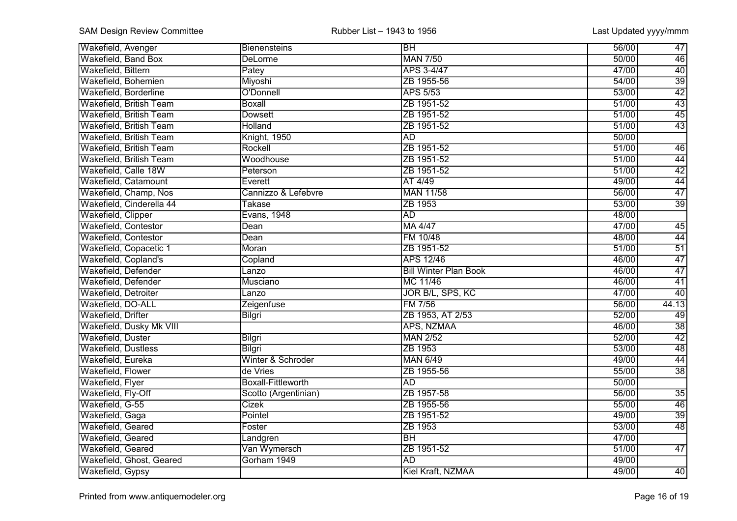| <b>Wakefield, Avenger</b>      | Bienensteins              | $\overline{\mathsf{IBH}}$    | 56/00 | 47              |
|--------------------------------|---------------------------|------------------------------|-------|-----------------|
| Wakefield, Band Box            | <b>DeLorme</b>            | <b>MAN 7/50</b>              | 50/00 | 46              |
| Wakefield, Bittern             | Patey                     | APS 3-4/47                   | 47/00 | 40              |
| Wakefield, Bohemien            | Miyoshi                   | ZB 1955-56                   | 54/00 | $\overline{39}$ |
| Wakefield, Borderline          | O'Donnell                 | <b>APS 5/53</b>              | 53/00 | 42              |
| <b>Wakefield, British Team</b> | <b>Boxall</b>             | ZB 1951-52                   | 51/00 | 43              |
| <b>Wakefield, British Team</b> | <b>Dowsett</b>            | ZB 1951-52                   | 51/00 | 45              |
| <b>Wakefield, British Team</b> | Holland                   | ZB 1951-52                   | 51/00 | 43              |
| Wakefield, British Team        | Knight, 1950              | <b>AD</b>                    | 50/00 |                 |
| Wakefield, British Team        | Rockell                   | ZB 1951-52                   | 51/00 | 46              |
| Wakefield, British Team        | Woodhouse                 | ZB 1951-52                   | 51/00 | 44              |
| Wakefield, Calle 18W           | Peterson                  | ZB 1951-52                   | 51/00 | 42              |
| Wakefield, Catamount           | Everett                   | AT 4/49                      | 49/00 | 44              |
| Wakefield, Champ, Nos          | Cannizzo & Lefebvre       | <b>MAN 11/58</b>             | 56/00 | $\overline{47}$ |
| Wakefield, Cinderella 44       | <b>Takase</b>             | ZB 1953                      | 53/00 | $\overline{39}$ |
| Wakefield, Clipper             | Evans, 1948               | <b>AD</b>                    | 48/00 |                 |
| <b>Wakefield, Contestor</b>    | Dean                      | MA 4/47                      | 47/00 | $\overline{45}$ |
| Wakefield, Contestor           | Dean                      | FM 10/48                     | 48/00 | $\overline{44}$ |
| Wakefield, Copacetic 1         | Moran                     | ZB 1951-52                   | 51/00 | $\overline{51}$ |
| Wakefield, Copland's           | Copland                   | <b>APS 12/46</b>             | 46/00 | $\overline{47}$ |
| Wakefield, Defender            | $\overline{a}$ nzo        | <b>Bill Winter Plan Book</b> | 46/00 | $\overline{47}$ |
| Wakefield, Defender            | <b>Musciano</b>           | MC 11/46                     | 46/00 | 41              |
| Wakefield, Detroiter           | Lanzo                     | <b>JOR B/L, SPS, KC</b>      | 47/00 | 40              |
| Wakefield, DO-ALL              | Zeigenfuse                | FM 7/56                      | 56/00 | 44.13           |
| Wakefield, Drifter             | <b>Bilgri</b>             | ZB 1953, AT 2/53             | 52/00 | 49              |
| Wakefield, Dusky Mk VIII       |                           | APS, NZMAA                   | 46/00 | $\overline{38}$ |
| Wakefield, Duster              | <b>Bilgri</b>             | <b>MAN 2/52</b>              | 52/00 | 42              |
| <b>Wakefield, Dustless</b>     | Bilgri                    | ZB 1953                      | 53/00 | 48              |
| Wakefield, Eureka              | Winter & Schroder         | <b>MAN 6/49</b>              | 49/00 | $\overline{44}$ |
| Wakefield, Flower              | de Vries                  | ZB 1955-56                   | 55/00 | $\overline{38}$ |
| Wakefield, Flyer               | <b>Boxall-Fittleworth</b> | <b>AD</b>                    | 50/00 |                 |
| Wakefield, Fly-Off             | Scotto (Argentinian)      | ZB 1957-58                   | 56/00 | $\overline{35}$ |
| Wakefield, G-55                | <b>Cizek</b>              | ZB 1955-56                   | 55/00 | $\overline{46}$ |
| Wakefield, Gaga                | Pointel                   | ZB 1951-52                   | 49/00 | $\overline{39}$ |
| Wakefield, Geared              | Foster                    | ZB 1953                      | 53/00 | $\overline{48}$ |
| Wakefield, Geared              | Landgren                  | $\overline{BH}$              | 47/00 |                 |
| Wakefield, Geared              | Van Wymersch              | ZB 1951-52                   | 51/00 | 47              |
| Wakefield, Ghost, Geared       | Gorham 1949               | <b>AD</b>                    | 49/00 |                 |
| Wakefield, Gypsy               |                           | Kiel Kraft, NZMAA            | 49/00 | $\overline{40}$ |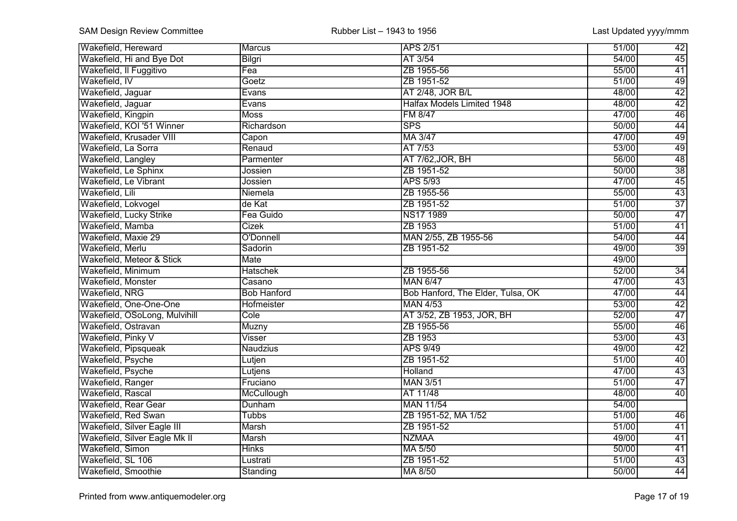| <b>Wakefield, Hereward</b>    | Marcus             | <b>APS 2/51</b>                   | 51/00 | 42              |
|-------------------------------|--------------------|-----------------------------------|-------|-----------------|
| Wakefield, Hi and Bye Dot     | Bilgri             | AT 3/54                           | 54/00 | $\overline{45}$ |
| Wakefield, Il Fuggitivo       | Fea                | ZB 1955-56                        | 55/00 | 41              |
| Wakefield, IV                 | Goetz              | ZB 1951-52                        | 51/00 | 49              |
| Wakefield, Jaguar             | Evans              | AT 2/48, JOR B/L                  | 48/00 | 42              |
| Wakefield, Jaguar             | Evans              | <b>Halfax Models Limited 1948</b> | 48/00 | 42              |
| Wakefield, Kingpin            | <b>Moss</b>        | <b>FM 8/47</b>                    | 47/00 | 46              |
| Wakefield, KOI '51 Winner     | Richardson         | <b>SPS</b>                        | 50/00 | 44              |
| Wakefield, Krusader VIII      | Capon              | MA 3/47                           | 47/00 | 49              |
| Wakefield, La Sorra           | Renaud             | AT 7/53                           | 53/00 | 49              |
| Wakefield, Langley            | Parmenter          | AT 7/62, JOR, BH                  | 56/00 | $\overline{48}$ |
| Wakefield, Le Sphinx          | Jossien            | ZB 1951-52                        | 50/00 | $\overline{38}$ |
| Wakefield, Le Vibrant         | Jossien            | <b>APS 5/93</b>                   | 47/00 | $\overline{45}$ |
| Wakefield, Lili               | Niemela            | ZB 1955-56                        | 55/00 | $\overline{43}$ |
| Wakefield, Lokvogel           | de Kat             | ZB 1951-52                        | 51/00 | $\overline{37}$ |
| Wakefield, Lucky Strike       | Fea Guido          | NS17 1989                         | 50/00 | $\overline{47}$ |
| Wakefield, Mamba              | Cizek              | ZB 1953                           | 51/00 | $\overline{41}$ |
| Wakefield, Maxie 29           | O'Donnell          | MAN 2/55, ZB 1955-56              | 54/00 | $\overline{44}$ |
| Wakefield, Merlu              | Sadorin            | ZB 1951-52                        | 49/00 | $\overline{39}$ |
| Wakefield, Meteor & Stick     | <b>Mate</b>        |                                   | 49/00 |                 |
| Wakefield, Minimum            | <b>Hatschek</b>    | ZB 1955-56                        | 52/00 | $\overline{34}$ |
| Wakefield, Monster            | Casano             | <b>MAN 6/47</b>                   | 47/00 | $\overline{43}$ |
| Wakefield, NRG                | <b>Bob Hanford</b> | Bob Hanford, The Elder, Tulsa, OK | 47/00 | 44              |
| Wakefield, One-One-One        | Hofmeister         | <b>MAN 4/53</b>                   | 53/00 | 42              |
| Wakefield, OSoLong, Mulvihill | Cole               | AT 3/52, ZB 1953, JOR, BH         | 52/00 | 47              |
| Wakefield, Ostravan           | Muzny              | ZB 1955-56                        | 55/00 | 46              |
| Wakefield, Pinky V            | Visser             | ZB 1953                           | 53/00 | 43              |
| Wakefield, Pipsqueak          | <b>Naudzius</b>    | <b>APS 9/49</b>                   | 49/00 | 42              |
| Wakefield, Psyche             | Lutjen             | ZB 1951-52                        | 51/00 | $\overline{40}$ |
| Wakefield, Psyche             | Lutjens            | Holland                           | 47/00 | 43              |
| Wakefield, Ranger             | Fruciano           | <b>MAN 3/51</b>                   | 51/00 | 47              |
| Wakefield, Rascal             | McCullough         | AT 11/48                          | 48/00 | $\overline{40}$ |
| <b>Wakefield, Rear Gear</b>   | Dunham             | <b>MAN 11/54</b>                  | 54/00 |                 |
| Wakefield, Red Swan           | <b>Tubbs</b>       | ZB 1951-52, MA 1/52               | 51/00 | 46              |
| Wakefield, Silver Eagle III   | <b>Marsh</b>       | ZB 1951-52                        | 51/00 | $\overline{41}$ |
| Wakefield, Silver Eagle Mk II | <b>Marsh</b>       | <b>NZMAA</b>                      | 49/00 | $\overline{41}$ |
| Wakefield, Simon              | <b>Hinks</b>       | MA 5/50                           | 50/00 | $\overline{41}$ |
| Wakefield, SL 106             | Lustrati           | ZB 1951-52                        | 51/00 | $\overline{43}$ |
| Wakefield, Smoothie           | Standing           | MA 8/50                           | 50/00 | 44              |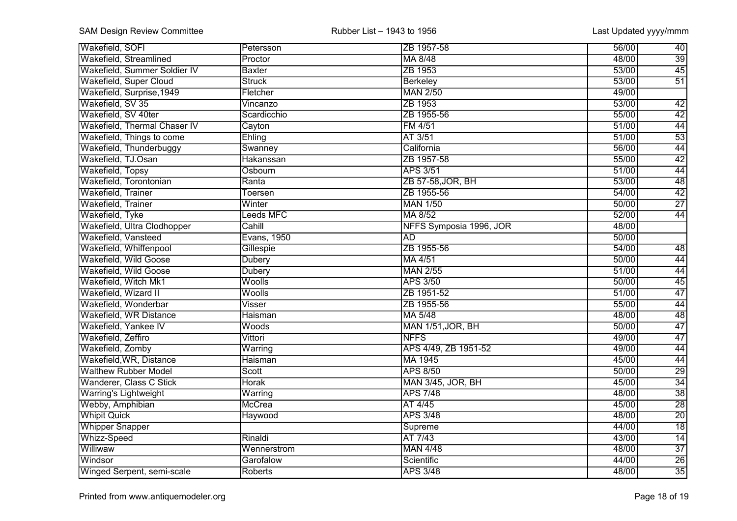| <b>Wakefield, SOFI</b>       | Petersson      | ZB 1957-58               | 56/00 | $\overline{40}$ |
|------------------------------|----------------|--------------------------|-------|-----------------|
| Wakefield, Streamlined       | Proctor        | MA 8/48                  | 48/00 | $\overline{39}$ |
| Wakefield, Summer Soldier IV | <b>Baxter</b>  | ZB 1953                  | 53/00 | 45              |
| Wakefield, Super Cloud       | <b>Struck</b>  | <b>Berkeley</b>          | 53/00 | $\overline{51}$ |
| Wakefield, Surprise, 1949    | Fletcher       | <b>MAN 2/50</b>          | 49/00 |                 |
| Wakefield, SV 35             | Vincanzo       | ZB 1953                  | 53/00 | 42              |
| Wakefield, SV 40ter          | Scardicchio    | ZB 1955-56               | 55/00 | 42              |
| Wakefield, Thermal Chaser IV | Cayton         | FM 4/51                  | 51/00 | 44              |
| Wakefield, Things to come    | Ehling         | AT 3/51                  | 51/00 | 53              |
| Wakefield, Thunderbuggy      | Swanney        | California               | 56/00 | 44              |
| Wakefield, TJ.Osan           | Hakanssan      | ZB 1957-58               | 55/00 | $\overline{42}$ |
| Wakefield, Topsy             | Osbourn        | <b>APS 3/51</b>          | 51/00 | 44              |
| Wakefield, Torontonian       | Ranta          | ZB 57-58, JOR, BH        | 53/00 | 48              |
| Wakefield, Trainer           | <b>Toersen</b> | ZB 1955-56               | 54/00 | $\overline{42}$ |
| Wakefield, Trainer           | Winter         | <b>MAN 1/50</b>          | 50/00 | $\overline{27}$ |
| Wakefield, Tyke              | Leeds MFC      | MA 8/52                  | 52/00 | $\overline{44}$ |
| Wakefield, Ultra Clodhopper  | Cahill         | NFFS Symposia 1996, JOR  | 48/00 |                 |
| Wakefield, Vansteed          | Evans, 1950    | <b>AD</b>                | 50/00 |                 |
| Wakefield, Whiffenpool       | Gillespie      | ZB 1955-56               | 54/00 | $\overline{48}$ |
| <b>Wakefield, Wild Goose</b> | Dubery         | MA 4/51                  | 50/00 | 44              |
| Wakefield, Wild Goose        | <b>Dubery</b>  | <b>MAN 2/55</b>          | 51/00 | 44              |
| Wakefield, Witch Mk1         | <b>Woolls</b>  | <b>APS 3/50</b>          | 50/00 | $\overline{45}$ |
| Wakefield, Wizard II         | <b>Woolls</b>  | ZB 1951-52               | 51/00 | 47              |
| Wakefield, Wonderbar         | Visser         | ZB 1955-56               | 55/00 | 44              |
| Wakefield, WR Distance       | Haisman        | MA 5/48                  | 48/00 | 48              |
| Wakefield, Yankee IV         | Woods          | MAN 1/51, JOR, BH        | 50/00 | $\overline{47}$ |
| Wakefield, Zeffiro           | Vittori        | <b>NFFS</b>              | 49/00 | 47              |
| Wakefield, Zomby             | Warring        | APS 4/49, ZB 1951-52     | 49/00 | 44              |
| Wakefield, WR, Distance      | Haisman        | MA 1945                  | 45/00 | 44              |
| <b>Walthew Rubber Model</b>  | Scott          | <b>APS 8/50</b>          | 50/00 | 29              |
| Wanderer, Class C Stick      | <b>Horak</b>   | <b>MAN 3/45, JOR, BH</b> | 45/00 | $\overline{34}$ |
| <b>Warring's Lightweight</b> | Warring        | <b>APS 7/48</b>          | 48/00 | $\overline{38}$ |
| Webby, Amphibian             | <b>McCrea</b>  | AT 4/45                  | 45/00 | $\overline{28}$ |
| <b>Whipit Quick</b>          | Haywood        | <b>APS 3/48</b>          | 48/00 | $\overline{20}$ |
| <b>Whipper Snapper</b>       |                | Supreme                  | 44/00 | $\overline{18}$ |
| Whizz-Speed                  | Rinaldi        | AT 7/43                  | 43/00 | $\overline{14}$ |
| Williwaw                     | Wennerstrom    | <b>MAN 4/48</b>          | 48/00 | $\overline{37}$ |
| Windsor                      | Garofalow      | Scientific               | 44/00 | $\overline{26}$ |
| Winged Serpent, semi-scale   | Roberts        | <b>APS 3/48</b>          | 48/00 | $\overline{35}$ |